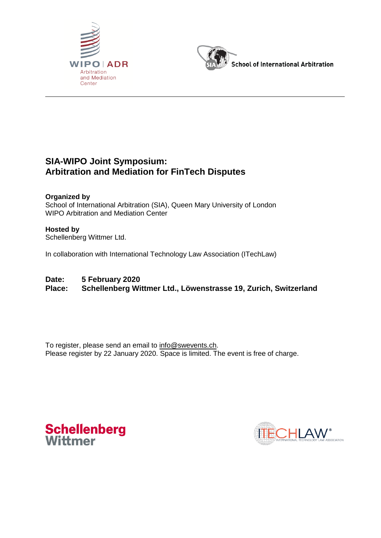



## **SIA-WIPO Joint Symposium: Arbitration and Mediation for FinTech Disputes**

**Organized by**  School of International Arbitration (SIA), Queen Mary University of London WIPO Arbitration and Mediation Center

## **Hosted by**

Schellenberg Wittmer Ltd.

In collaboration with International Technology Law Association (ITechLaw)

## **Date: 5 February 2020**

**Place: Schellenberg Wittmer Ltd., Löwenstrasse 19, Zurich, Switzerland**

To register, please send an email to [info@swevents.ch.](mailto:info@swevents.ch) Please register by 22 January 2020. Space is limited. The event is free of charge.